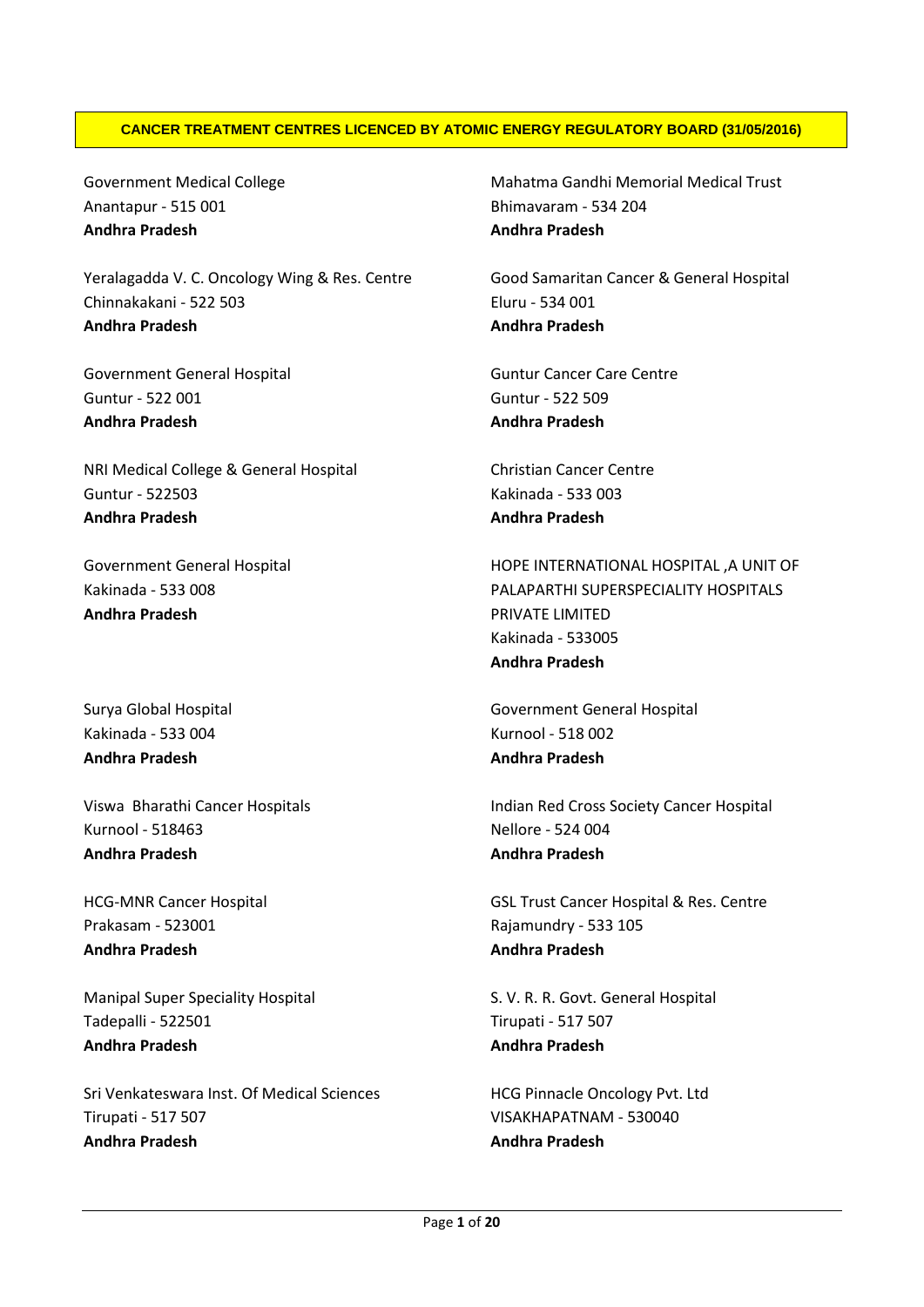## **CANCER TREATMENT CENTRES LICENCED BY ATOMIC ENERGY REGULATORY BOARD (31/05/2016)**

Government Medical College Anantapur - 515 001 **Andhra Pradesh**

Yeralagadda V. C. Oncology Wing & Res. Centre Chinnakakani - 522 503 **Andhra Pradesh**

Government General Hospital Guntur - 522 001 **Andhra Pradesh**

NRI Medical College & General Hospital Guntur - 522503 **Andhra Pradesh**

Government General Hospital Kakinada - 533 008 **Andhra Pradesh**

Surya Global Hospital Kakinada - 533 004 **Andhra Pradesh**

Viswa Bharathi Cancer Hospitals Kurnool - 518463 **Andhra Pradesh**

HCG-MNR Cancer Hospital Prakasam - 523001 **Andhra Pradesh**

Manipal Super Speciality Hospital Tadepalli - 522501 **Andhra Pradesh**

Sri Venkateswara Inst. Of Medical Sciences Tirupati - 517 507 **Andhra Pradesh**

Mahatma Gandhi Memorial Medical Trust Bhimavaram - 534 204 **Andhra Pradesh**

Good Samaritan Cancer & General Hospital Eluru - 534 001 **Andhra Pradesh**

Guntur Cancer Care Centre Guntur - 522 509 **Andhra Pradesh**

Christian Cancer Centre Kakinada - 533 003 **Andhra Pradesh**

HOPE INTERNATIONAL HOSPITAL ,A UNIT OF PALAPARTHI SUPERSPECIALITY HOSPITALS PRIVATE LIMITED Kakinada - 533005 **Andhra Pradesh**

Government General Hospital Kurnool - 518 002 **Andhra Pradesh**

Indian Red Cross Society Cancer Hospital Nellore - 524 004 **Andhra Pradesh**

GSL Trust Cancer Hospital & Res. Centre Rajamundry - 533 105 **Andhra Pradesh**

S. V. R. R. Govt. General Hospital Tirupati - 517 507 **Andhra Pradesh**

HCG Pinnacle Oncology Pvt. Ltd VISAKHAPATNAM - 530040 **Andhra Pradesh**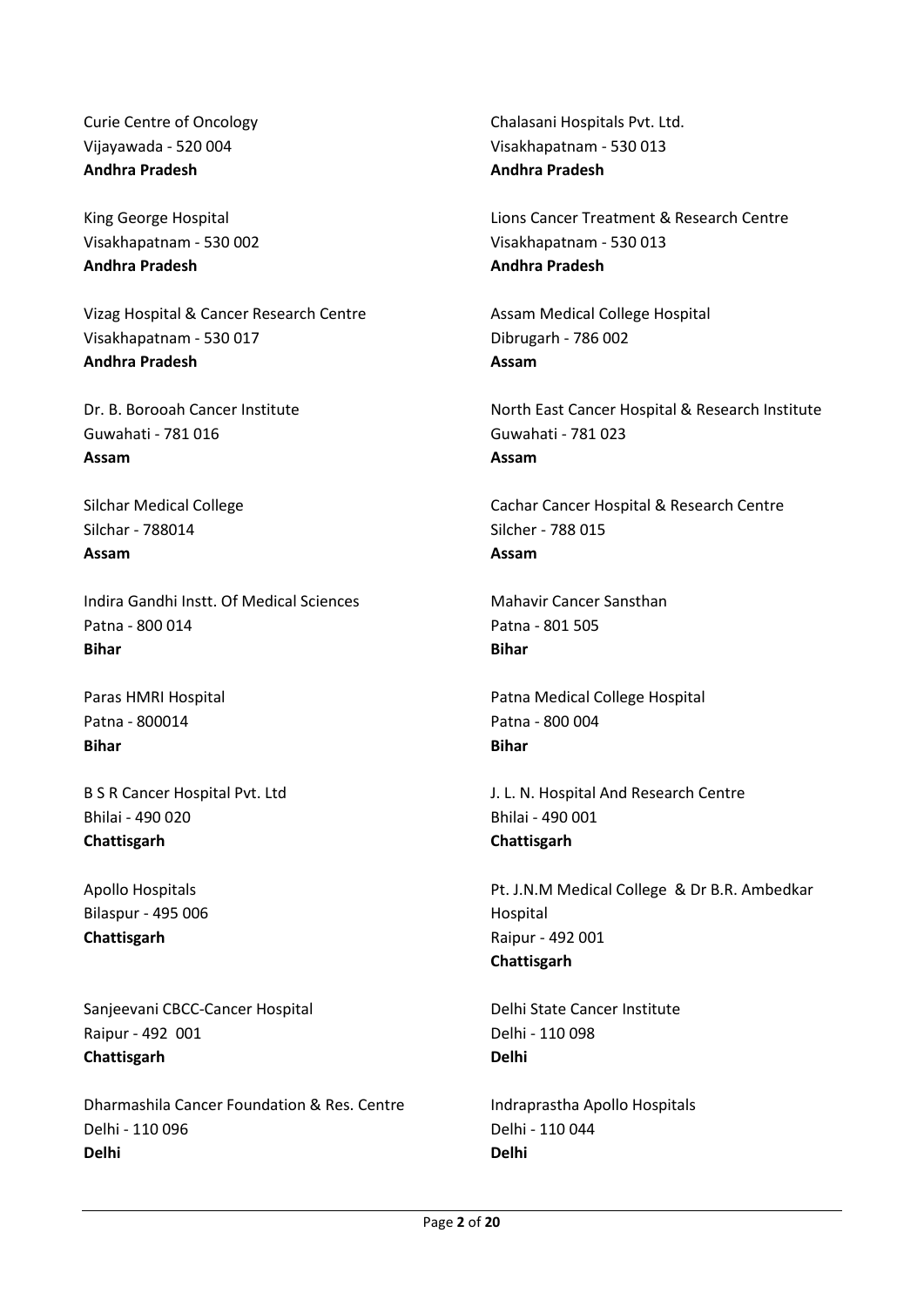Curie Centre of Oncology Vijayawada - 520 004 **Andhra Pradesh**

King George Hospital Visakhapatnam - 530 002 **Andhra Pradesh**

Vizag Hospital & Cancer Research Centre Visakhapatnam - 530 017 **Andhra Pradesh**

Dr. B. Borooah Cancer Institute Guwahati - 781 016 **Assam**

Silchar Medical College Silchar - 788014 **Assam**

Indira Gandhi Instt. Of Medical Sciences Patna - 800 014 **Bihar**

Paras HMRI Hospital Patna - 800014 **Bihar**

B S R Cancer Hospital Pvt. Ltd Bhilai - 490 020 **Chattisgarh**

Apollo Hospitals Bilaspur - 495 006 **Chattisgarh**

Sanjeevani CBCC-Cancer Hospital Raipur - 492 001 **Chattisgarh**

Dharmashila Cancer Foundation & Res. Centre Delhi - 110 096 **Delhi**

Chalasani Hospitals Pvt. Ltd. Visakhapatnam - 530 013 **Andhra Pradesh**

Lions Cancer Treatment & Research Centre Visakhapatnam - 530 013 **Andhra Pradesh**

Assam Medical College Hospital Dibrugarh - 786 002 **Assam**

North East Cancer Hospital & Research Institute Guwahati - 781 023 **Assam**

Cachar Cancer Hospital & Research Centre Silcher - 788 015 **Assam**

Mahavir Cancer Sansthan Patna - 801 505 **Bihar**

Patna Medical College Hospital Patna - 800 004 **Bihar**

J. L. N. Hospital And Research Centre Bhilai - 490 001 **Chattisgarh**

Pt. J.N.M Medical College & Dr B.R. Ambedkar Hospital Raipur - 492 001 **Chattisgarh**

Delhi State Cancer Institute Delhi - 110 098 **Delhi**

Indraprastha Apollo Hospitals Delhi - 110 044 **Delhi**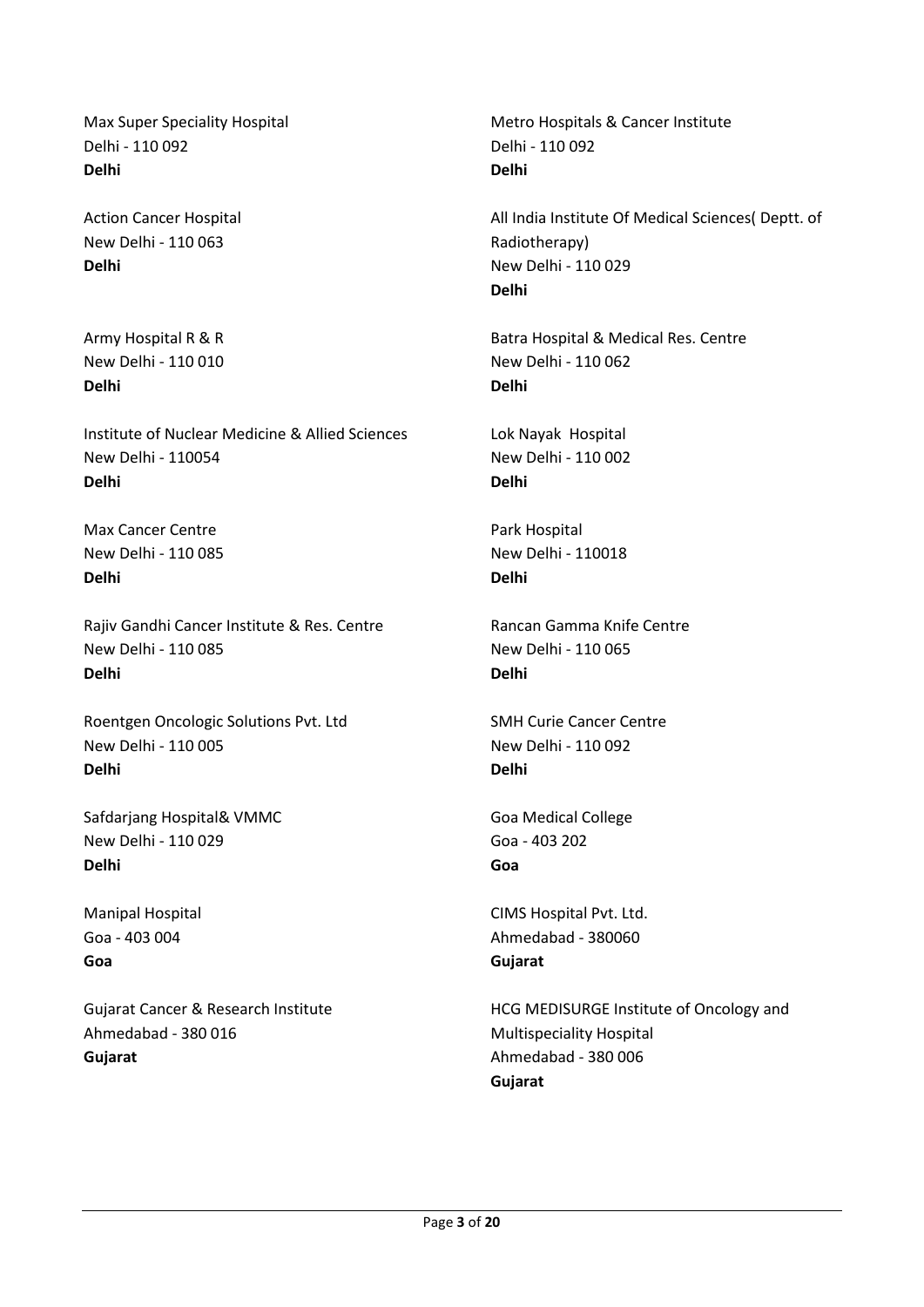Max Super Speciality Hospital Delhi - 110 092 **Delhi**

Action Cancer Hospital New Delhi - 110 063 **Delhi**

Army Hospital R & R New Delhi - 110 010 **Delhi**

Institute of Nuclear Medicine & Allied Sciences New Delhi - 110054 **Delhi**

Max Cancer Centre New Delhi - 110 085 **Delhi**

Rajiv Gandhi Cancer Institute & Res. Centre New Delhi - 110 085 **Delhi**

Roentgen Oncologic Solutions Pvt. Ltd New Delhi - 110 005 **Delhi**

Safdarjang Hospital& VMMC New Delhi - 110 029 **Delhi**

Manipal Hospital Goa - 403 004 **Goa**

Gujarat Cancer & Research Institute Ahmedabad - 380 016 **Gujarat**

Metro Hospitals & Cancer Institute Delhi - 110 092 **Delhi**

All India Institute Of Medical Sciences( Deptt. of Radiotherapy) New Delhi - 110 029 **Delhi**

Batra Hospital & Medical Res. Centre New Delhi - 110 062 **Delhi**

Lok Nayak Hospital New Delhi - 110 002 **Delhi**

Park Hospital New Delhi - 110018 **Delhi**

Rancan Gamma Knife Centre New Delhi - 110 065 **Delhi**

SMH Curie Cancer Centre New Delhi - 110 092 **Delhi**

Goa Medical College Goa - 403 202 **Goa**

CIMS Hospital Pvt. Ltd. Ahmedabad - 380060 **Gujarat**

HCG MEDISURGE Institute of Oncology and Multispeciality Hospital Ahmedabad - 380 006 **Gujarat**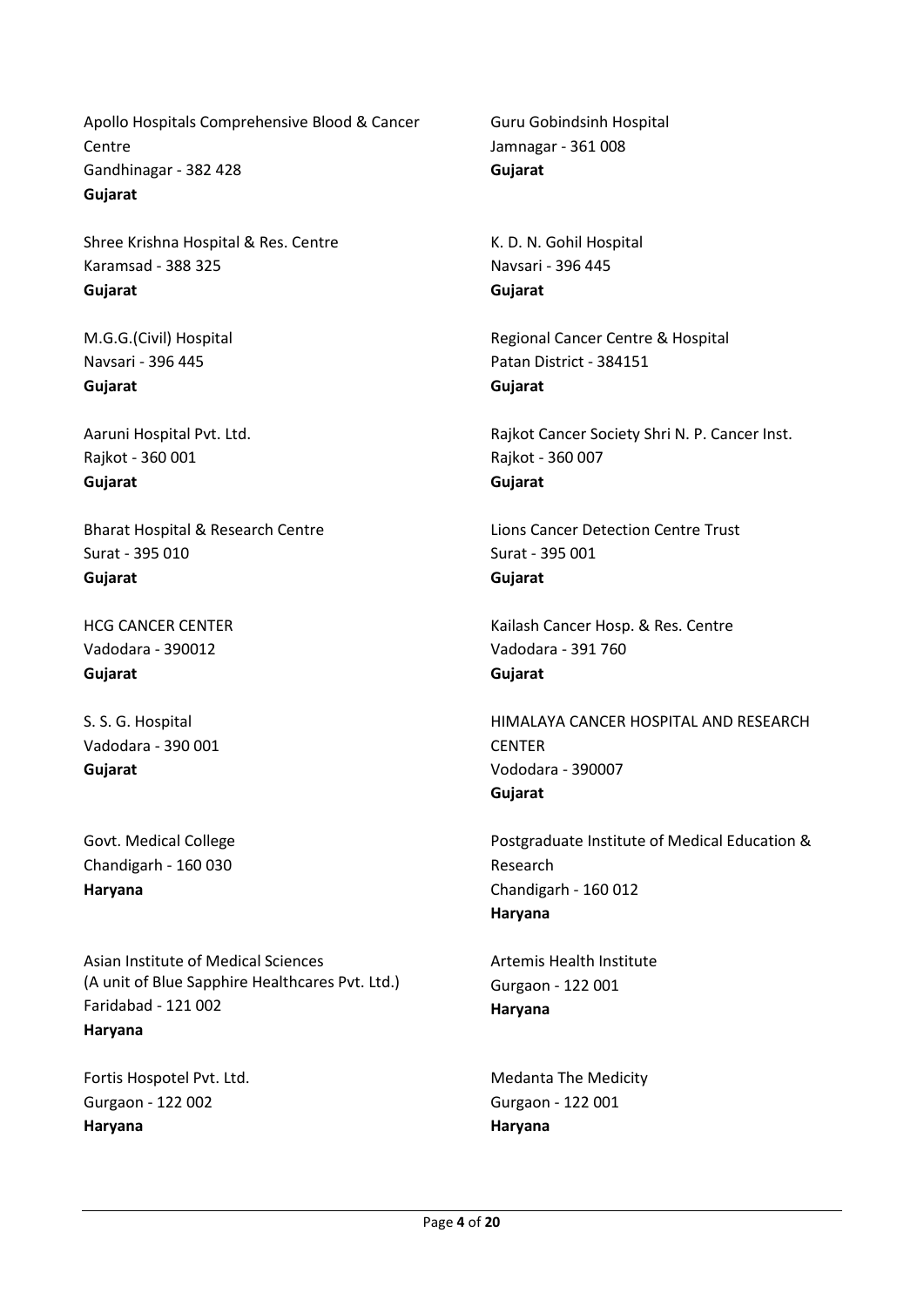Apollo Hospitals Comprehensive Blood & Cancer **Centre** Gandhinagar - 382 428 **Gujarat**

Shree Krishna Hospital & Res. Centre Karamsad - 388 325 **Gujarat**

M.G.G.(Civil) Hospital Navsari - 396 445 **Gujarat**

Aaruni Hospital Pvt. Ltd. Rajkot - 360 001 **Gujarat**

Bharat Hospital & Research Centre Surat - 395 010 **Gujarat**

HCG CANCER CENTER Vadodara - 390012 **Gujarat**

S. S. G. Hospital Vadodara - 390 001 **Gujarat**

Govt. Medical College Chandigarh - 160 030 **Haryana**

Asian Institute of Medical Sciences (A unit of Blue Sapphire Healthcares Pvt. Ltd.) Faridabad - 121 002 **Haryana**

Fortis Hospotel Pvt. Ltd. Gurgaon - 122 002 **Haryana**

Guru Gobindsinh Hospital Jamnagar - 361 008 **Gujarat**

K. D. N. Gohil Hospital Navsari - 396 445 **Gujarat**

Regional Cancer Centre & Hospital Patan District - 384151 **Gujarat**

Rajkot Cancer Society Shri N. P. Cancer Inst. Rajkot - 360 007 **Gujarat**

Lions Cancer Detection Centre Trust Surat - 395 001 **Gujarat**

Kailash Cancer Hosp. & Res. Centre Vadodara - 391 760 **Gujarat**

HIMALAYA CANCER HOSPITAL AND RESEARCH **CFNTER** Vododara - 390007 **Gujarat**

Postgraduate Institute of Medical Education & Research Chandigarh - 160 012 **Haryana**

Artemis Health Institute Gurgaon - 122 001 **Haryana**

Medanta The Medicity Gurgaon - 122 001 **Haryana**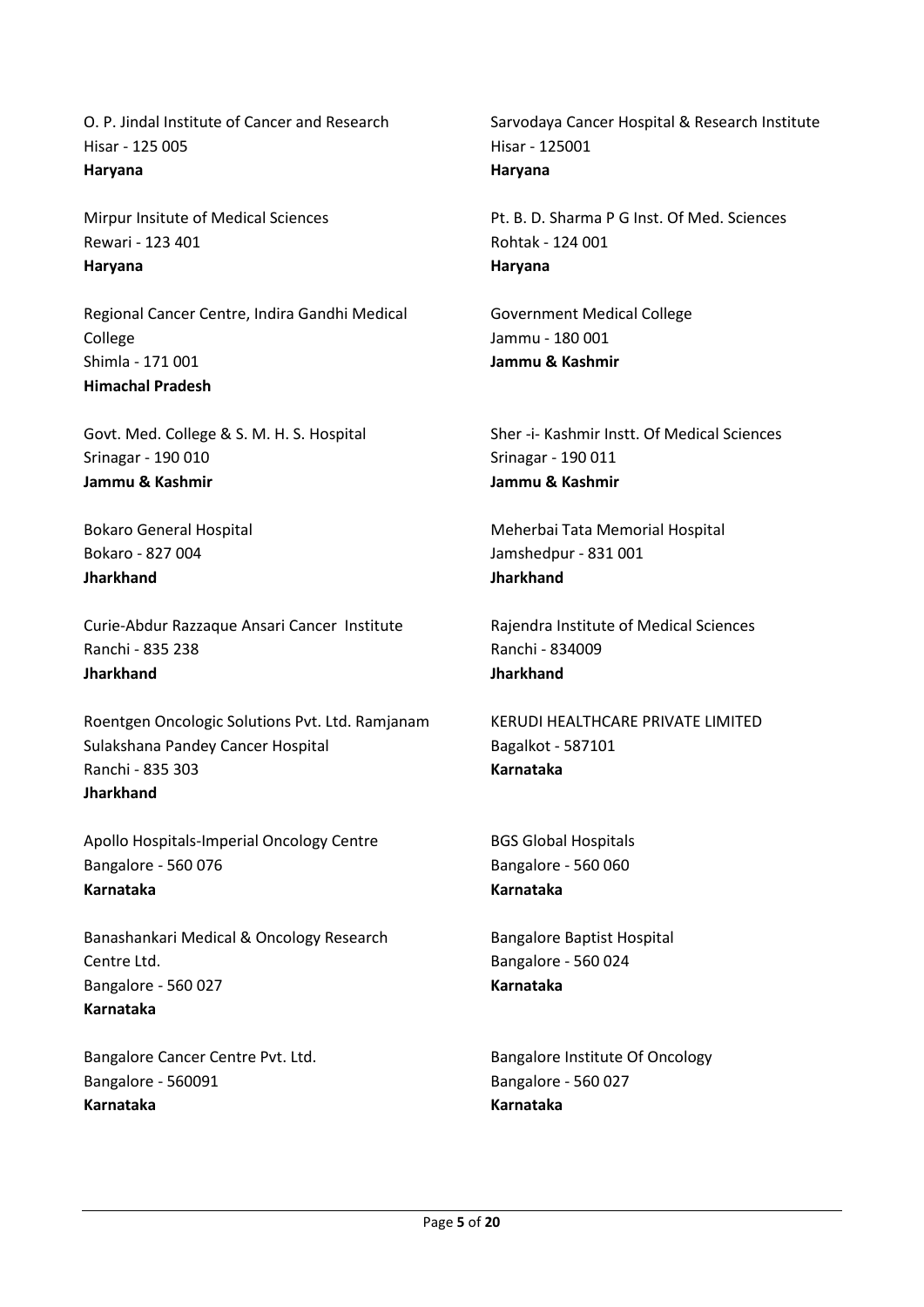O. P. Jindal Institute of Cancer and Research Hisar - 125 005 **Haryana**

Mirpur Insitute of Medical Sciences Rewari - 123 401 **Haryana**

Regional Cancer Centre, Indira Gandhi Medical College Shimla - 171 001 **Himachal Pradesh**

Govt. Med. College & S. M. H. S. Hospital Srinagar - 190 010 **Jammu & Kashmir**

Bokaro General Hospital Bokaro - 827 004 **Jharkhand**

Curie-Abdur Razzaque Ansari Cancer Institute Ranchi - 835 238 **Jharkhand**

Roentgen Oncologic Solutions Pvt. Ltd. Ramjanam Sulakshana Pandey Cancer Hospital Ranchi - 835 303 **Jharkhand**

Apollo Hospitals-Imperial Oncology Centre Bangalore - 560 076 **Karnataka**

Banashankari Medical & Oncology Research Centre Ltd. Bangalore - 560 027 **Karnataka**

Bangalore Cancer Centre Pvt. Ltd. Bangalore - 560091 **Karnataka**

Sarvodaya Cancer Hospital & Research Institute Hisar - 125001 **Haryana**

Pt. B. D. Sharma P G Inst. Of Med. Sciences Rohtak - 124 001 **Haryana**

Government Medical College Jammu - 180 001 **Jammu & Kashmir**

Sher -i- Kashmir Instt. Of Medical Sciences Srinagar - 190 011 **Jammu & Kashmir**

Meherbai Tata Memorial Hospital Jamshedpur - 831 001 **Jharkhand**

Rajendra Institute of Medical Sciences Ranchi - 834009 **Jharkhand**

KERUDI HEALTHCARE PRIVATE LIMITED Bagalkot - 587101 **Karnataka**

BGS Global Hospitals Bangalore - 560 060 **Karnataka**

Bangalore Baptist Hospital Bangalore - 560 024 **Karnataka**

Bangalore Institute Of Oncology Bangalore - 560 027 **Karnataka**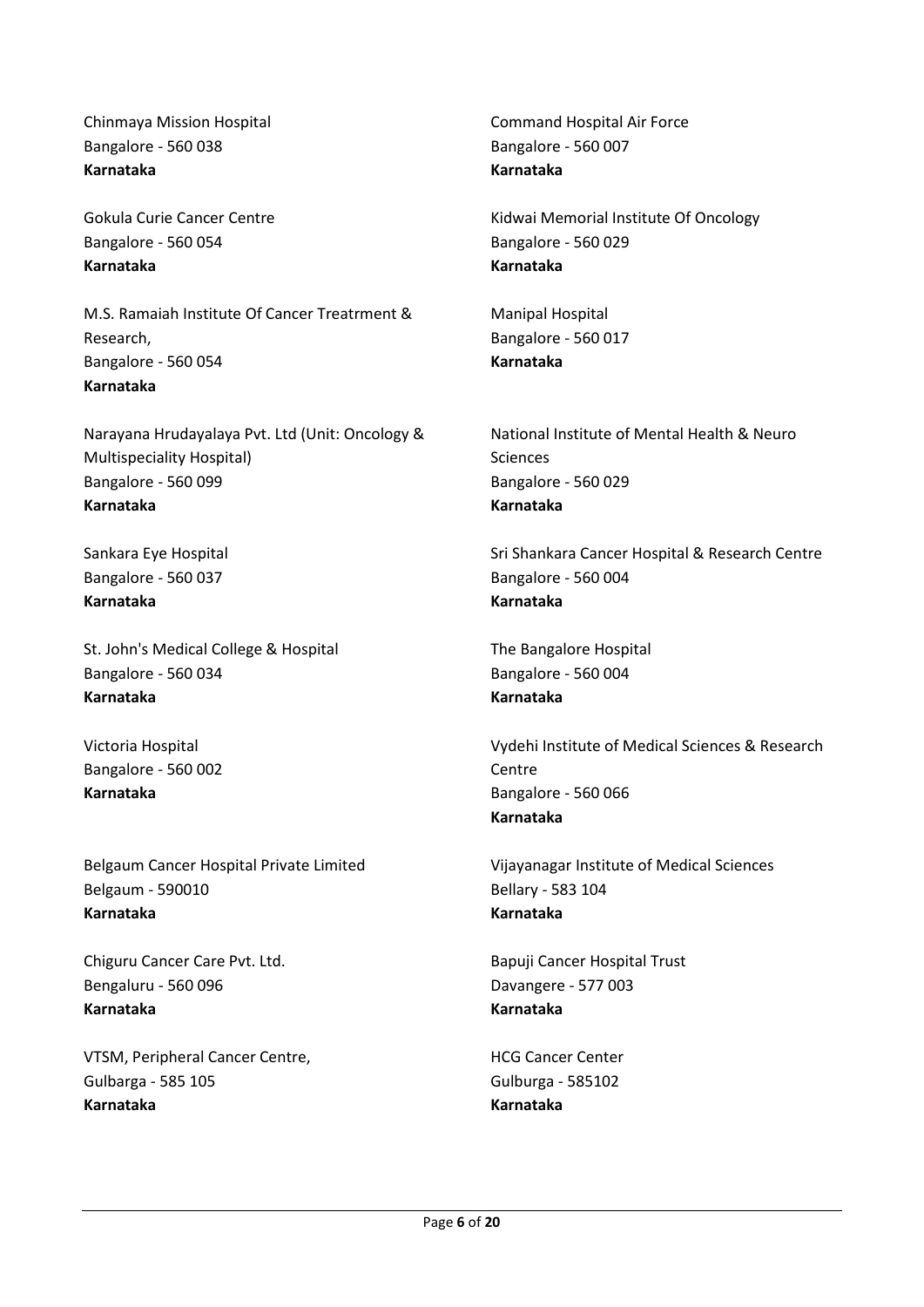Chinmaya Mission Hospital Bangalore - 560 038 **Karnataka**

Gokula Curie Cancer Centre Bangalore - 560 054 **Karnataka**

M.S. Ramaiah Institute Of Cancer Treatrment & Research, Bangalore - 560 054 **Karnataka**

Narayana Hrudayalaya Pvt. Ltd (Unit: Oncology & Multispeciality Hospital) Bangalore - 560 099 **Karnataka**

Sankara Eye Hospital Bangalore - 560 037 **Karnataka**

St. John's Medical College & Hospital Bangalore - 560 034 **Karnataka**

Victoria Hospital Bangalore - 560 002 **Karnataka**

Belgaum Cancer Hospital Private Limited Belgaum - 590010 **Karnataka**

Chiguru Cancer Care Pvt. Ltd. Bengaluru - 560 096 **Karnataka**

VTSM, Peripheral Cancer Centre, Gulbarga - 585 105 **Karnataka**

Command Hospital Air Force Bangalore - 560 007 **Karnataka**

Kidwai Memorial Institute Of Oncology Bangalore - 560 029 **Karnataka**

Manipal Hospital Bangalore - 560 017 **Karnataka**

National Institute of Mental Health & Neuro Sciences Bangalore - 560 029 **Karnataka**

Sri Shankara Cancer Hospital & Research Centre Bangalore - 560 004 **Karnataka**

The Bangalore Hospital Bangalore - 560 004 **Karnataka**

Vydehi Institute of Medical Sciences & Research **Centre** Bangalore - 560 066 **Karnataka**

Vijayanagar Institute of Medical Sciences Bellary - 583 104 **Karnataka**

Bapuji Cancer Hospital Trust Davangere - 577 003 **Karnataka**

HCG Cancer Center Gulburga - 585102 **Karnataka**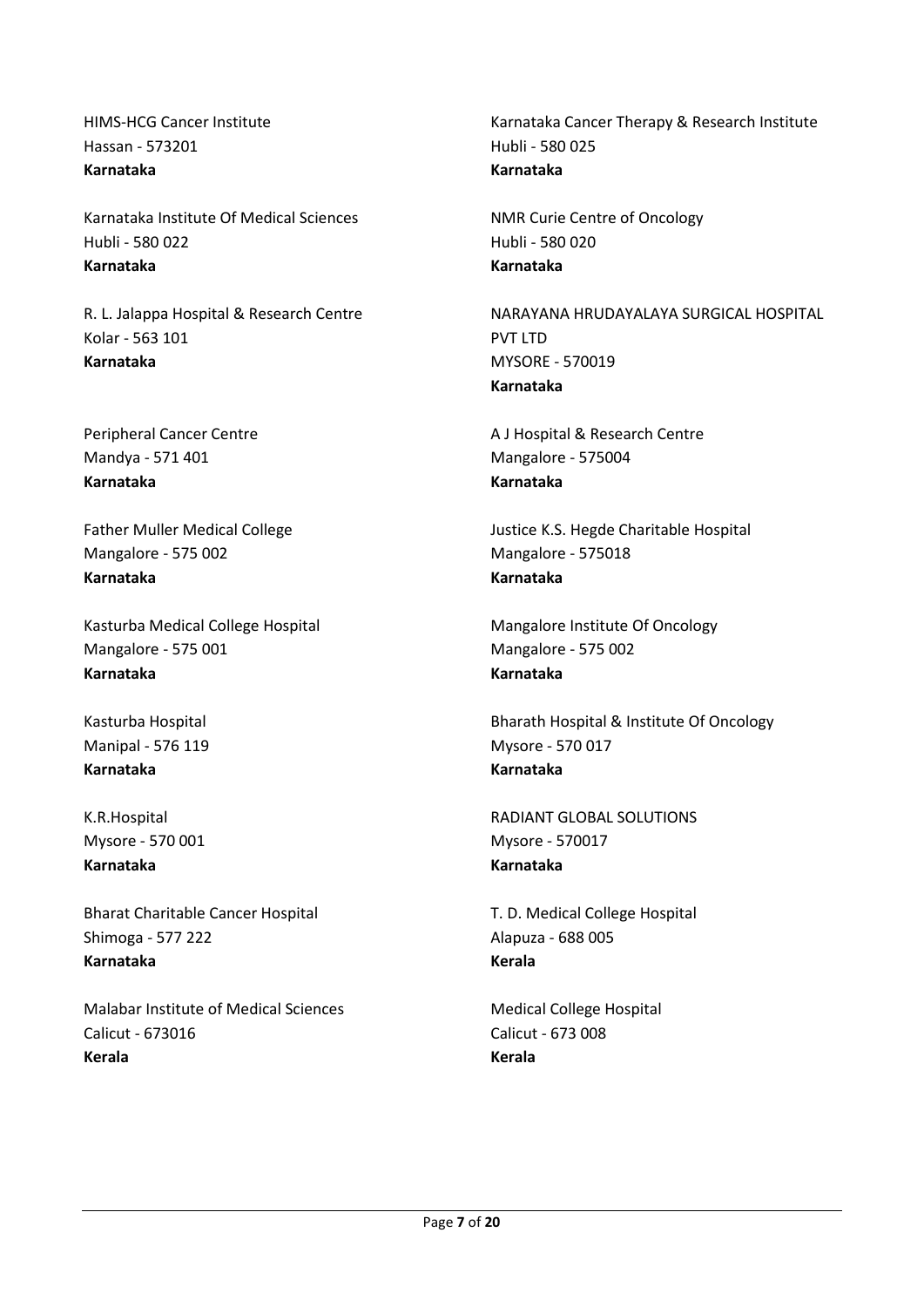HIMS-HCG Cancer Institute Hassan - 573201 **Karnataka**

Karnataka Institute Of Medical Sciences Hubli - 580 022 **Karnataka**

R. L. Jalappa Hospital & Research Centre Kolar - 563 101 **Karnataka**

Peripheral Cancer Centre Mandya - 571 401 **Karnataka**

Father Muller Medical College Mangalore - 575 002 **Karnataka**

Kasturba Medical College Hospital Mangalore - 575 001 **Karnataka**

Kasturba Hospital Manipal - 576 119 **Karnataka**

K.R.Hospital Mysore - 570 001 **Karnataka**

Bharat Charitable Cancer Hospital Shimoga - 577 222 **Karnataka**

Malabar Institute of Medical Sciences Calicut - 673016 **Kerala**

Karnataka Cancer Therapy & Research Institute Hubli - 580 025 **Karnataka**

NMR Curie Centre of Oncology Hubli - 580 020 **Karnataka**

NARAYANA HRUDAYALAYA SURGICAL HOSPITAL PVT LTD MYSORE - 570019 **Karnataka**

A J Hospital & Research Centre Mangalore - 575004 **Karnataka**

Justice K.S. Hegde Charitable Hospital Mangalore - 575018 **Karnataka**

Mangalore Institute Of Oncology Mangalore - 575 002 **Karnataka**

Bharath Hospital & Institute Of Oncology Mysore - 570 017 **Karnataka**

RADIANT GLOBAL SOLUTIONS Mysore - 570017 **Karnataka**

T. D. Medical College Hospital Alapuza - 688 005 **Kerala**

Medical College Hospital Calicut - 673 008 **Kerala**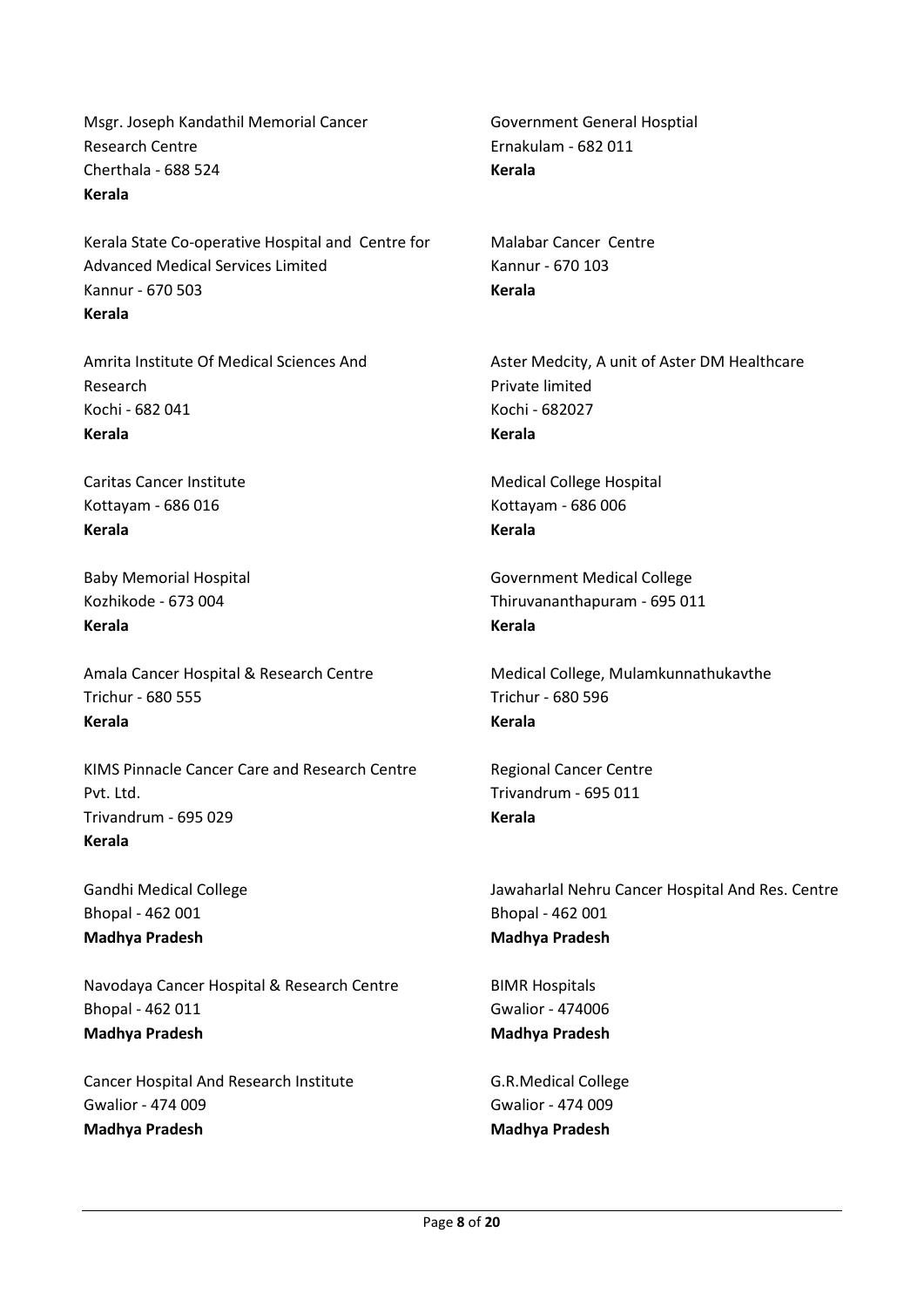Msgr. Joseph Kandathil Memorial Cancer Research Centre Cherthala - 688 524 **Kerala**

Kerala State Co-operative Hospital and Centre for Advanced Medical Services Limited Kannur - 670 503 **Kerala**

Amrita Institute Of Medical Sciences And Research Kochi - 682 041 **Kerala**

Caritas Cancer Institute Kottayam - 686 016 **Kerala**

Baby Memorial Hospital Kozhikode - 673 004 **Kerala**

Amala Cancer Hospital & Research Centre Trichur - 680 555 **Kerala**

KIMS Pinnacle Cancer Care and Research Centre Pvt. Ltd. Trivandrum - 695 029 **Kerala**

Gandhi Medical College Bhopal - 462 001 **Madhya Pradesh**

Navodaya Cancer Hospital & Research Centre Bhopal - 462 011 **Madhya Pradesh**

Cancer Hospital And Research Institute Gwalior - 474 009 **Madhya Pradesh**

Government General Hosptial Ernakulam - 682 011 **Kerala**

Malabar Cancer Centre Kannur - 670 103 **Kerala**

Aster Medcity, A unit of Aster DM Healthcare Private limited Kochi - 682027 **Kerala**

Medical College Hospital Kottayam - 686 006 **Kerala**

Government Medical College Thiruvananthapuram - 695 011 **Kerala**

Medical College, Mulamkunnathukavthe Trichur - 680 596 **Kerala**

Regional Cancer Centre Trivandrum - 695 011 **Kerala**

Jawaharlal Nehru Cancer Hospital And Res. Centre Bhopal - 462 001 **Madhya Pradesh**

BIMR Hospitals Gwalior - 474006 **Madhya Pradesh**

G.R.Medical College Gwalior - 474 009 **Madhya Pradesh**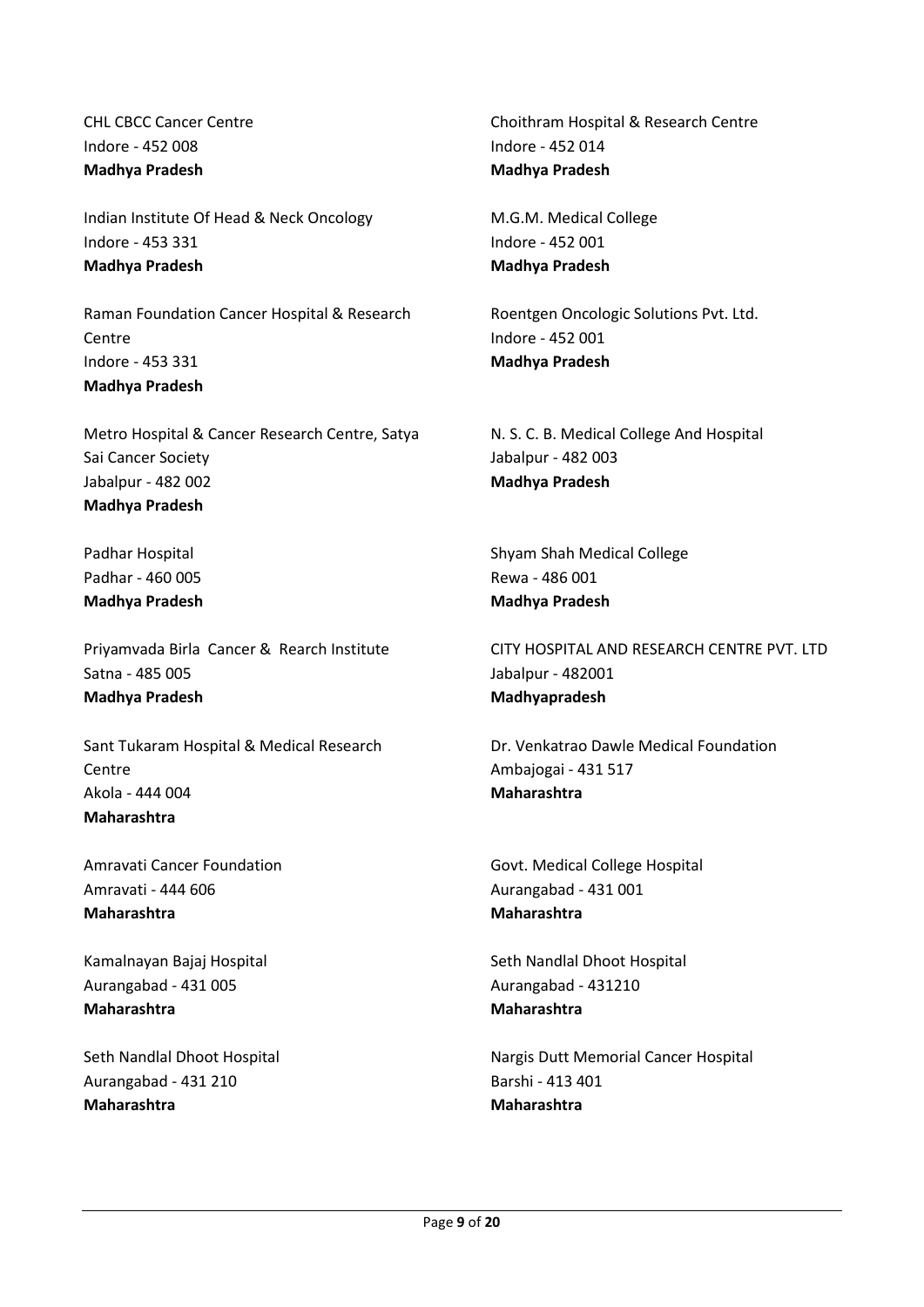CHL CBCC Cancer Centre Indore - 452 008 **Madhya Pradesh**

Indian Institute Of Head & Neck Oncology Indore - 453 331 **Madhya Pradesh**

Raman Foundation Cancer Hospital & Research Centre Indore - 453 331 **Madhya Pradesh**

Metro Hospital & Cancer Research Centre, Satya Sai Cancer Society Jabalpur - 482 002 **Madhya Pradesh**

Padhar Hospital Padhar - 460 005 **Madhya Pradesh**

Priyamvada Birla Cancer & Rearch Institute Satna - 485 005 **Madhya Pradesh**

Sant Tukaram Hospital & Medical Research Centre Akola - 444 004 **Maharashtra**

Amravati Cancer Foundation Amravati - 444 606 **Maharashtra**

Kamalnayan Bajaj Hospital Aurangabad - 431 005 **Maharashtra**

Seth Nandlal Dhoot Hospital Aurangabad - 431 210 **Maharashtra**

Choithram Hospital & Research Centre Indore - 452 014 **Madhya Pradesh**

M.G.M. Medical College Indore - 452 001 **Madhya Pradesh**

Roentgen Oncologic Solutions Pvt. Ltd. Indore - 452 001 **Madhya Pradesh**

N. S. C. B. Medical College And Hospital Jabalpur - 482 003 **Madhya Pradesh**

Shyam Shah Medical College Rewa - 486 001 **Madhya Pradesh**

CITY HOSPITAL AND RESEARCH CENTRE PVT. LTD Jabalpur - 482001 **Madhyapradesh**

Dr. Venkatrao Dawle Medical Foundation Ambajogai - 431 517 **Maharashtra**

Govt. Medical College Hospital Aurangabad - 431 001 **Maharashtra**

Seth Nandlal Dhoot Hospital Aurangabad - 431210 **Maharashtra**

Nargis Dutt Memorial Cancer Hospital Barshi - 413 401 **Maharashtra**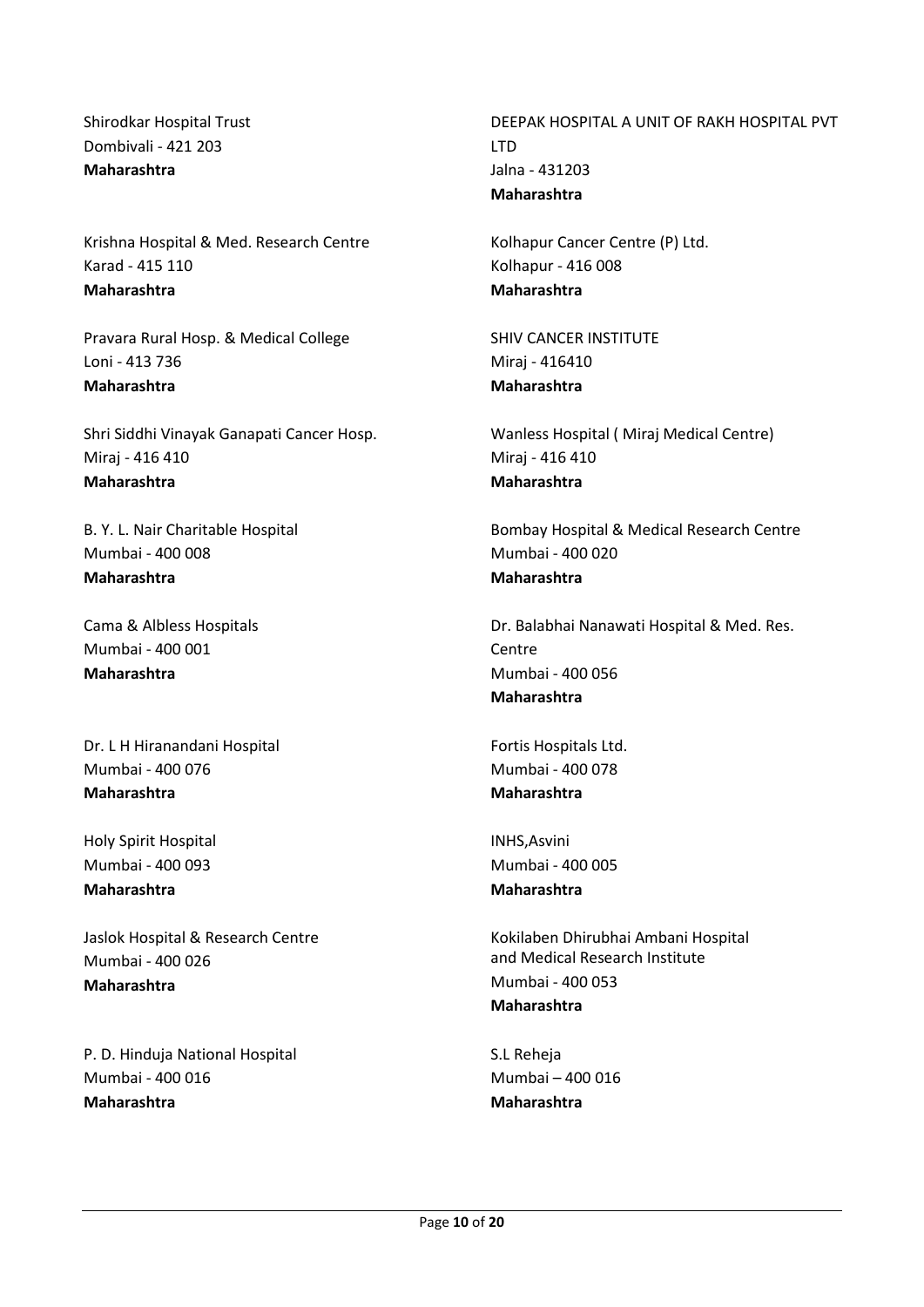Shirodkar Hospital Trust Dombivali - 421 203 **Maharashtra**

Krishna Hospital & Med. Research Centre Karad - 415 110 **Maharashtra**

Pravara Rural Hosp. & Medical College Loni - 413 736 **Maharashtra**

Shri Siddhi Vinayak Ganapati Cancer Hosp. Miraj - 416 410 **Maharashtra**

B. Y. L. Nair Charitable Hospital Mumbai - 400 008 **Maharashtra**

Cama & Albless Hospitals Mumbai - 400 001 **Maharashtra**

Dr. L H Hiranandani Hospital Mumbai - 400 076 **Maharashtra**

Holy Spirit Hospital Mumbai - 400 093 **Maharashtra**

Jaslok Hospital & Research Centre Mumbai - 400 026 **Maharashtra**

P. D. Hinduja National Hospital Mumbai - 400 016 **Maharashtra**

DEEPAK HOSPITAL A UNIT OF RAKH HOSPITAL PVT **LTD** Jalna - 431203 **Maharashtra**

Kolhapur Cancer Centre (P) Ltd. Kolhapur - 416 008 **Maharashtra**

SHIV CANCER INSTITUTE Miraj - 416410 **Maharashtra**

Wanless Hospital ( Miraj Medical Centre) Miraj - 416 410 **Maharashtra**

Bombay Hospital & Medical Research Centre Mumbai - 400 020 **Maharashtra**

Dr. Balabhai Nanawati Hospital & Med. Res. **Centre** Mumbai - 400 056 **Maharashtra**

Fortis Hospitals Ltd. Mumbai - 400 078 **Maharashtra**

INHS,Asvini Mumbai - 400 005 **Maharashtra**

Kokilaben Dhirubhai Ambani Hospital and Medical Research Institute Mumbai - 400 053 **Maharashtra**

S.L Reheja Mumbai – 400 016 **Maharashtra**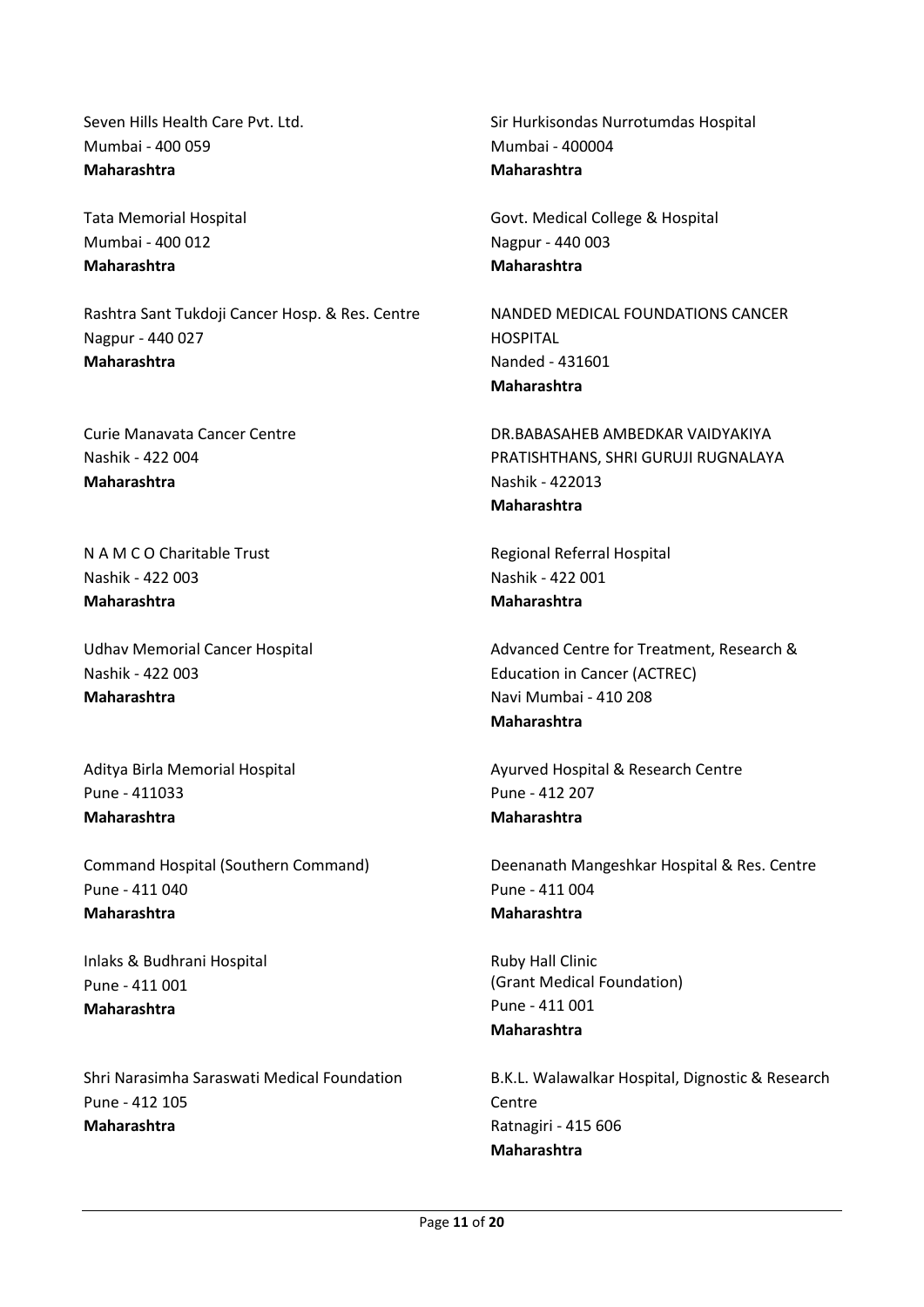Seven Hills Health Care Pvt. Ltd. Mumbai - 400 059 **Maharashtra**

Tata Memorial Hospital Mumbai - 400 012 **Maharashtra**

Rashtra Sant Tukdoji Cancer Hosp. & Res. Centre Nagpur - 440 027 **Maharashtra**

Curie Manavata Cancer Centre Nashik - 422 004 **Maharashtra**

N A M C O Charitable Trust Nashik - 422 003 **Maharashtra**

Udhav Memorial Cancer Hospital Nashik - 422 003 **Maharashtra**

Aditya Birla Memorial Hospital Pune - 411033 **Maharashtra**

Command Hospital (Southern Command) Pune - 411 040 **Maharashtra**

Inlaks & Budhrani Hospital Pune - 411 001 **Maharashtra**

Shri Narasimha Saraswati Medical Foundation Pune - 412 105 **Maharashtra**

Sir Hurkisondas Nurrotumdas Hospital Mumbai - 400004 **Maharashtra**

Govt. Medical College & Hospital Nagpur - 440 003 **Maharashtra**

NANDED MEDICAL FOUNDATIONS CANCER HOSPITAL Nanded - 431601 **Maharashtra**

DR.BABASAHEB AMBEDKAR VAIDYAKIYA PRATISHTHANS, SHRI GURUJI RUGNALAYA Nashik - 422013 **Maharashtra**

Regional Referral Hospital Nashik - 422 001 **Maharashtra**

Advanced Centre for Treatment, Research & Education in Cancer (ACTREC) Navi Mumbai - 410 208 **Maharashtra**

Ayurved Hospital & Research Centre Pune - 412 207 **Maharashtra**

Deenanath Mangeshkar Hospital & Res. Centre Pune - 411 004 **Maharashtra**

Ruby Hall Clinic (Grant Medical Foundation) Pune - 411 001 **Maharashtra**

B.K.L. Walawalkar Hospital, Dignostic & Research **Centre** Ratnagiri - 415 606 **Maharashtra**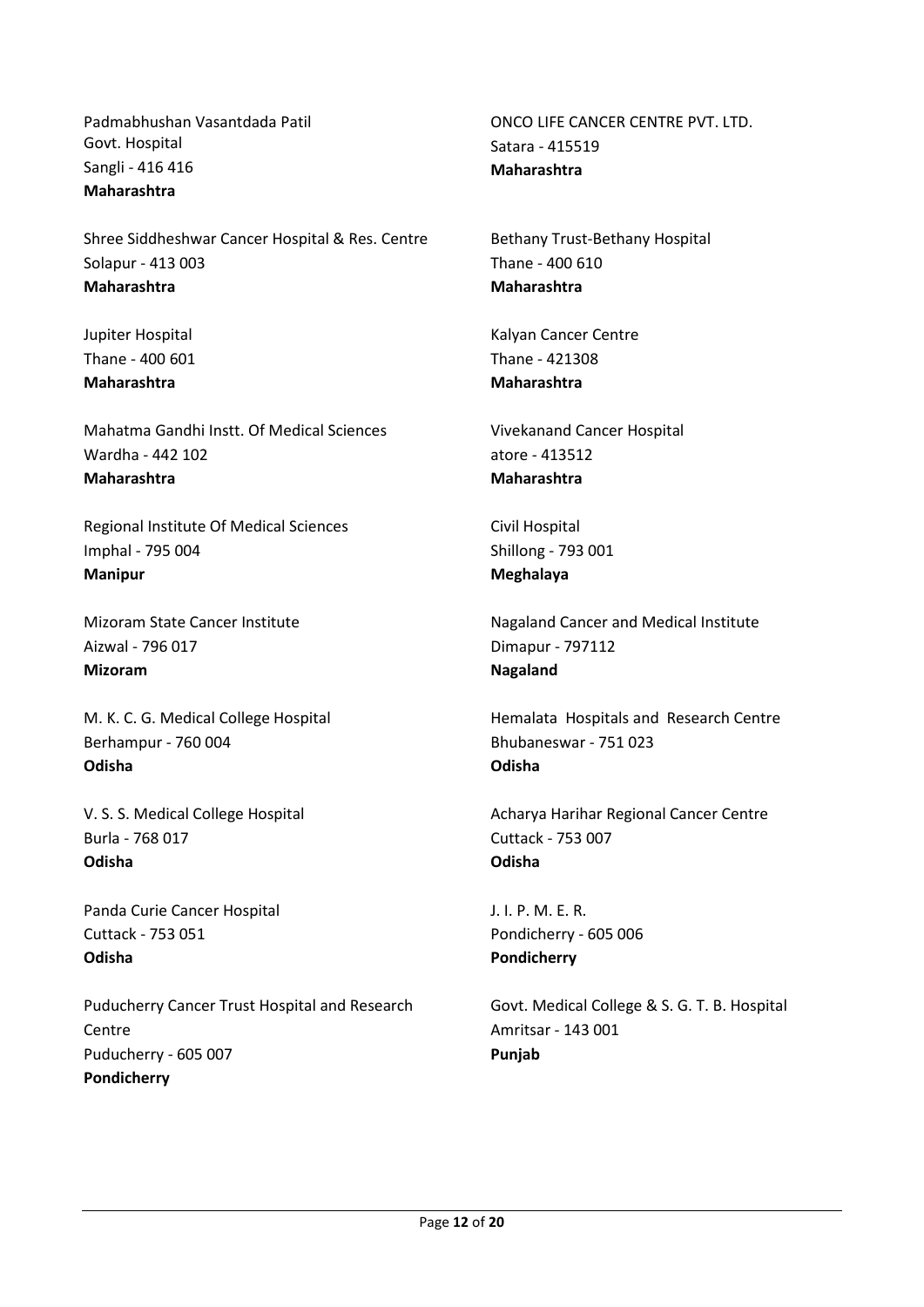Padmabhushan Vasantdada Patil Govt. Hospital Sangli - 416 416 **Maharashtra**

Shree Siddheshwar Cancer Hospital & Res. Centre Solapur - 413 003 **Maharashtra**

Jupiter Hospital Thane - 400 601 **Maharashtra**

Mahatma Gandhi Instt. Of Medical Sciences Wardha - 442 102 **Maharashtra**

Regional Institute Of Medical Sciences Imphal - 795 004 **Manipur**

Mizoram State Cancer Institute Aizwal - 796 017 **Mizoram**

M. K. C. G. Medical College Hospital Berhampur - 760 004 **Odisha**

V. S. S. Medical College Hospital Burla - 768 017 **Odisha**

Panda Curie Cancer Hospital Cuttack - 753 051 **Odisha**

Puducherry Cancer Trust Hospital and Research **Centre** Puducherry - 605 007 **Pondicherry**

ONCO LIFE CANCER CENTRE PVT. LTD. Satara - 415519 **Maharashtra**

Bethany Trust-Bethany Hospital Thane - 400 610 **Maharashtra**

Kalyan Cancer Centre Thane - 421308 **Maharashtra**

Vivekanand Cancer Hospital atore - 413512 **Maharashtra**

Civil Hospital Shillong - 793 001 **Meghalaya**

Nagaland Cancer and Medical Institute Dimapur - 797112 **Nagaland**

Hemalata Hospitals and Research Centre Bhubaneswar - 751 023 **Odisha**

Acharya Harihar Regional Cancer Centre Cuttack - 753 007 **Odisha**

J. I. P. M. E. R. Pondicherry - 605 006 **Pondicherry**

Govt. Medical College & S. G. T. B. Hospital Amritsar - 143 001 **Punjab**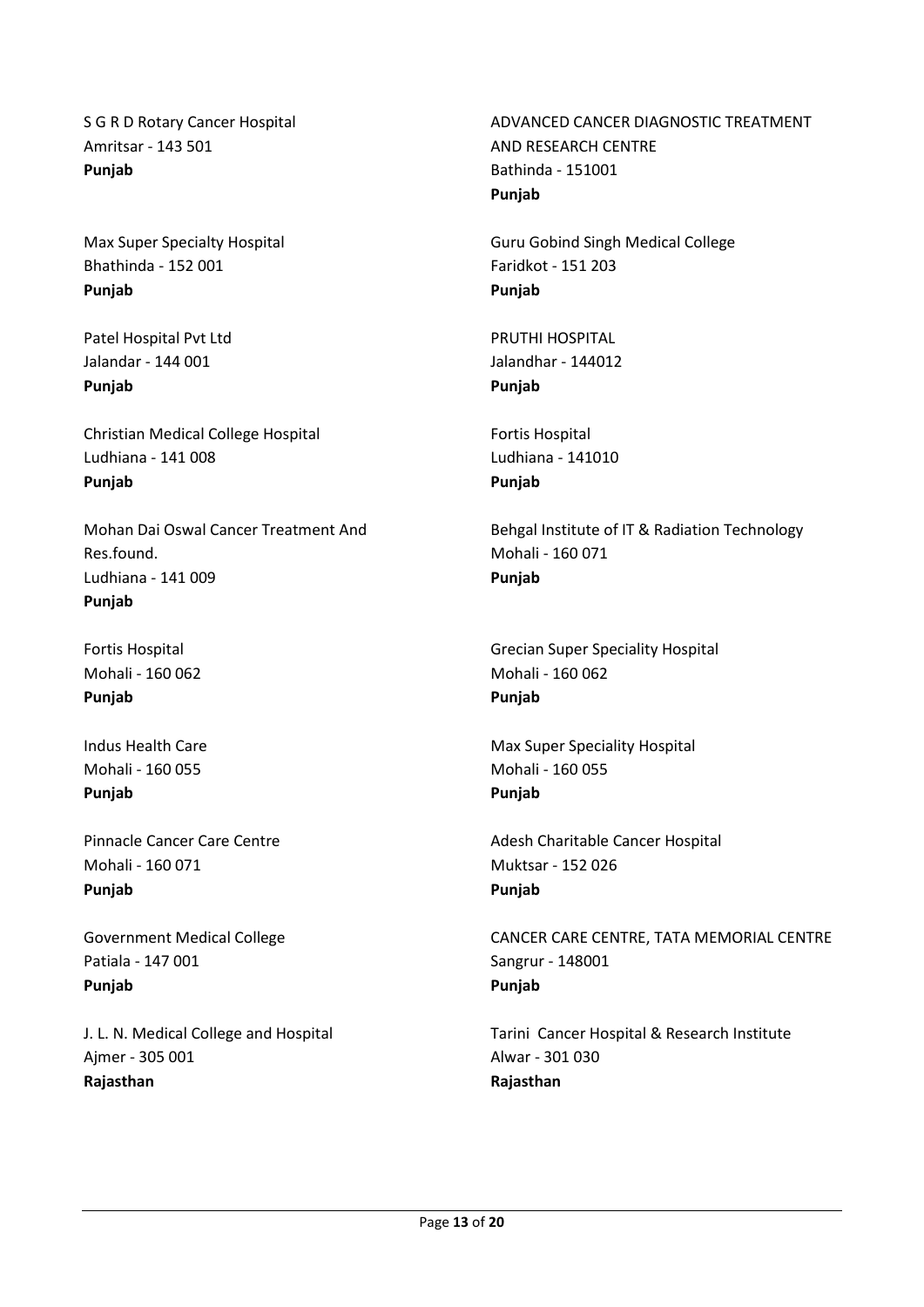S G R D Rotary Cancer Hospital Amritsar - 143 501 **Punjab**

Max Super Specialty Hospital Bhathinda - 152 001 **Punjab**

Patel Hospital Pvt Ltd Jalandar - 144 001 **Punjab**

Christian Medical College Hospital Ludhiana - 141 008 **Punjab**

Mohan Dai Oswal Cancer Treatment And Res.found. Ludhiana - 141 009 **Punjab**

Fortis Hospital Mohali - 160 062 **Punjab**

Indus Health Care Mohali - 160 055 **Punjab**

Pinnacle Cancer Care Centre Mohali - 160 071 **Punjab**

Government Medical College Patiala - 147 001 **Punjab**

J. L. N. Medical College and Hospital Ajmer - 305 001 **Rajasthan**

ADVANCED CANCER DIAGNOSTIC TREATMENT AND RESEARCH CENTRE Bathinda - 151001 **Punjab**

Guru Gobind Singh Medical College Faridkot - 151 203 **Punjab**

PRUTHI HOSPITAL Jalandhar - 144012 **Punjab**

Fortis Hospital Ludhiana - 141010 **Punjab**

Behgal Institute of IT & Radiation Technology Mohali - 160 071 **Punjab**

Grecian Super Speciality Hospital Mohali - 160 062 **Punjab**

Max Super Speciality Hospital Mohali - 160 055 **Punjab**

Adesh Charitable Cancer Hospital Muktsar - 152 026 **Punjab**

CANCER CARE CENTRE, TATA MEMORIAL CENTRE Sangrur - 148001 **Punjab**

Tarini Cancer Hospital & Research Institute Alwar - 301 030 **Rajasthan**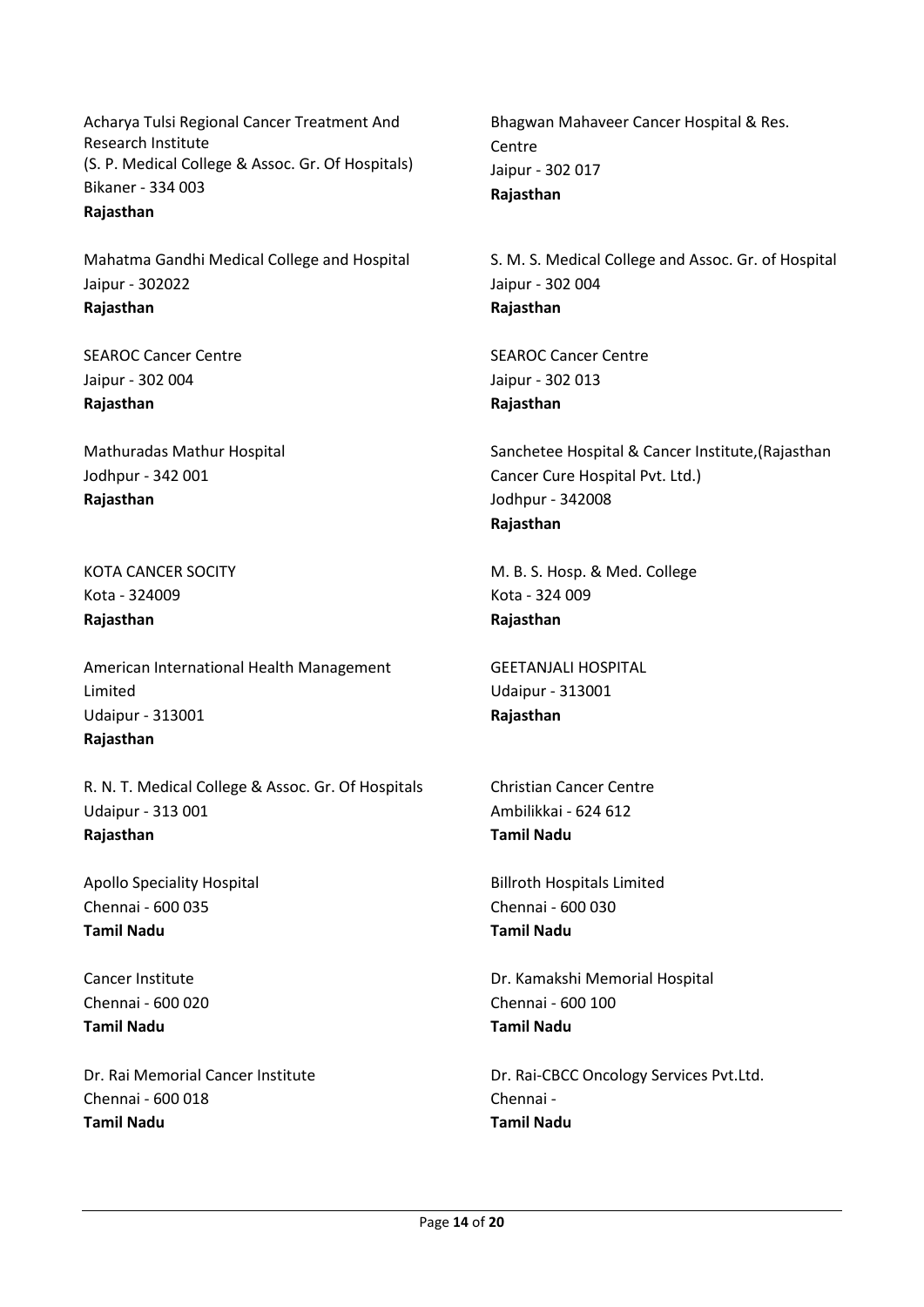Acharya Tulsi Regional Cancer Treatment And Research Institute (S. P. Medical College & Assoc. Gr. Of Hospitals) Bikaner - 334 003 **Rajasthan**

Mahatma Gandhi Medical College and Hospital Jaipur - 302022 **Rajasthan**

SEAROC Cancer Centre Jaipur - 302 004 **Rajasthan**

Mathuradas Mathur Hospital Jodhpur - 342 001 **Rajasthan**

KOTA CANCER SOCITY Kota - 324009 **Rajasthan**

American International Health Management Limited Udaipur - 313001 **Rajasthan**

R. N. T. Medical College & Assoc. Gr. Of Hospitals Udaipur - 313 001 **Rajasthan**

Apollo Speciality Hospital Chennai - 600 035 **Tamil Nadu**

Cancer Institute Chennai - 600 020 **Tamil Nadu**

Dr. Rai Memorial Cancer Institute Chennai - 600 018 **Tamil Nadu**

Bhagwan Mahaveer Cancer Hospital & Res. Centre Jaipur - 302 017 **Rajasthan**

S. M. S. Medical College and Assoc. Gr. of Hospital Jaipur - 302 004 **Rajasthan**

SEAROC Cancer Centre Jaipur - 302 013 **Rajasthan**

Sanchetee Hospital & Cancer Institute,(Rajasthan Cancer Cure Hospital Pvt. Ltd.) Jodhpur - 342008 **Rajasthan**

M. B. S. Hosp. & Med. College Kota - 324 009 **Rajasthan**

GEETANJALI HOSPITAL Udaipur - 313001 **Rajasthan**

Christian Cancer Centre Ambilikkai - 624 612 **Tamil Nadu**

Billroth Hospitals Limited Chennai - 600 030 **Tamil Nadu**

Dr. Kamakshi Memorial Hospital Chennai - 600 100 **Tamil Nadu**

Dr. Rai-CBCC Oncology Services Pvt.Ltd. Chennai - **Tamil Nadu**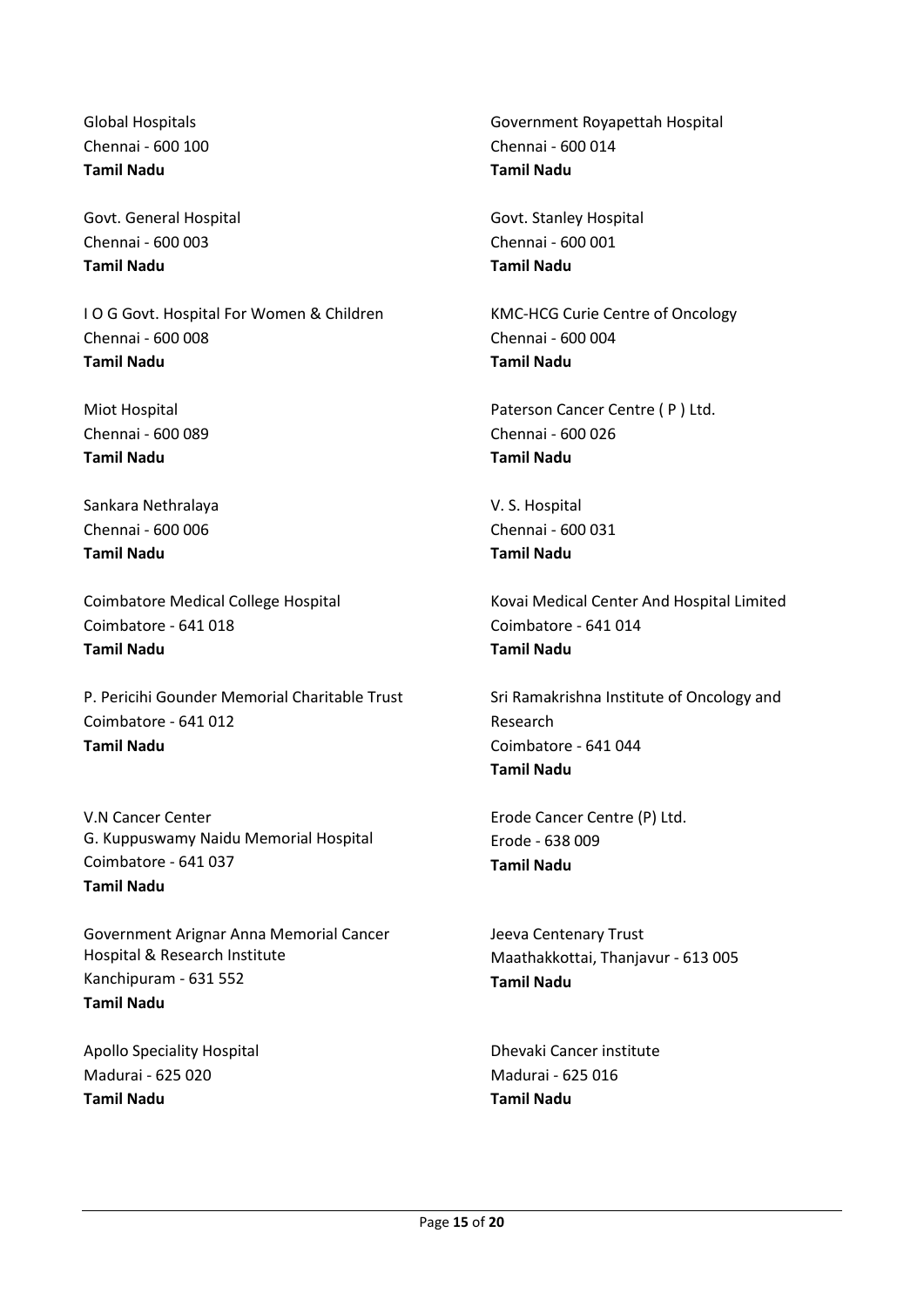Global Hospitals Chennai - 600 100 **Tamil Nadu**

Govt. General Hospital Chennai - 600 003 **Tamil Nadu**

I O G Govt. Hospital For Women & Children Chennai - 600 008 **Tamil Nadu**

Miot Hospital Chennai - 600 089 **Tamil Nadu**

Sankara Nethralaya Chennai - 600 006 **Tamil Nadu**

Coimbatore Medical College Hospital Coimbatore - 641 018 **Tamil Nadu**

P. Pericihi Gounder Memorial Charitable Trust Coimbatore - 641 012 **Tamil Nadu**

V.N Cancer Center G. Kuppuswamy Naidu Memorial Hospital Coimbatore - 641 037 **Tamil Nadu**

Government Arignar Anna Memorial Cancer Hospital & Research Institute Kanchipuram - 631 552 **Tamil Nadu**

Apollo Speciality Hospital Madurai - 625 020 **Tamil Nadu**

Government Royapettah Hospital Chennai - 600 014 **Tamil Nadu**

Govt. Stanley Hospital Chennai - 600 001 **Tamil Nadu**

KMC-HCG Curie Centre of Oncology Chennai - 600 004 **Tamil Nadu**

Paterson Cancer Centre ( P ) Ltd. Chennai - 600 026 **Tamil Nadu**

V. S. Hospital Chennai - 600 031 **Tamil Nadu**

Kovai Medical Center And Hospital Limited Coimbatore - 641 014 **Tamil Nadu**

Sri Ramakrishna Institute of Oncology and Research Coimbatore - 641 044 **Tamil Nadu**

Erode Cancer Centre (P) Ltd. Erode - 638 009 **Tamil Nadu**

Jeeva Centenary Trust Maathakkottai, Thanjavur - 613 005 **Tamil Nadu**

Dhevaki Cancer institute Madurai - 625 016 **Tamil Nadu**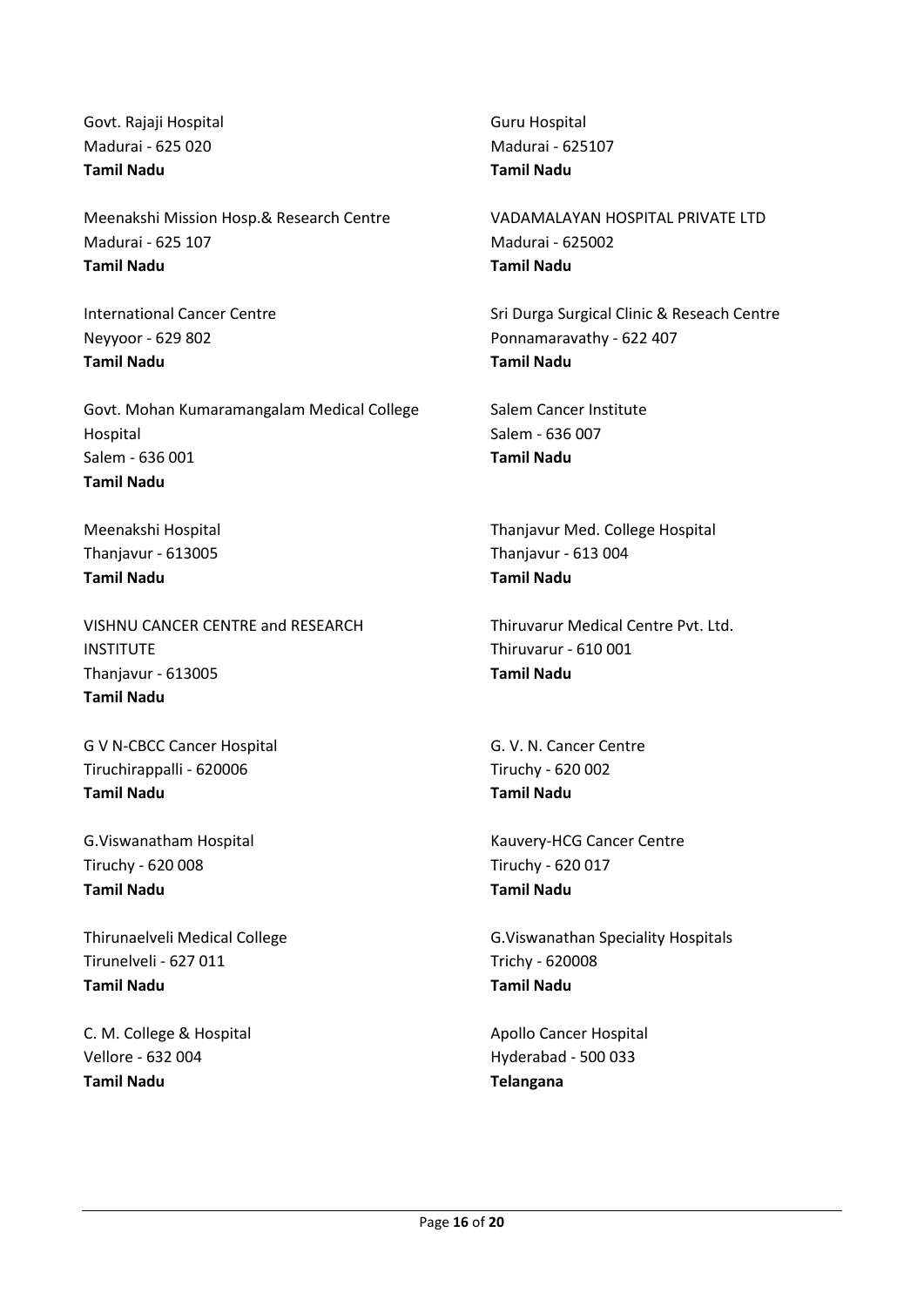Govt. Rajaji Hospital Madurai - 625 020 **Tamil Nadu**

Meenakshi Mission Hosp.& Research Centre Madurai - 625 107 **Tamil Nadu**

International Cancer Centre Neyyoor - 629 802 **Tamil Nadu**

Govt. Mohan Kumaramangalam Medical College Hospital Salem - 636 001 **Tamil Nadu**

Meenakshi Hospital Thanjavur - 613005 **Tamil Nadu**

VISHNU CANCER CENTRE and RESEARCH **INSTITUTE** Thanjavur - 613005 **Tamil Nadu**

G V N-CBCC Cancer Hospital Tiruchirappalli - 620006 **Tamil Nadu**

G.Viswanatham Hospital Tiruchy - 620 008 **Tamil Nadu**

Thirunaelveli Medical College Tirunelveli - 627 011 **Tamil Nadu**

C. M. College & Hospital Vellore - 632 004 **Tamil Nadu**

Guru Hospital Madurai - 625107 **Tamil Nadu**

VADAMALAYAN HOSPITAL PRIVATE LTD Madurai - 625002 **Tamil Nadu**

Sri Durga Surgical Clinic & Reseach Centre Ponnamaravathy - 622 407 **Tamil Nadu**

Salem Cancer Institute Salem - 636 007 **Tamil Nadu**

Thanjavur Med. College Hospital Thanjavur - 613 004 **Tamil Nadu**

Thiruvarur Medical Centre Pvt. Ltd. Thiruvarur - 610 001 **Tamil Nadu**

G. V. N. Cancer Centre Tiruchy - 620 002 **Tamil Nadu**

Kauvery-HCG Cancer Centre Tiruchy - 620 017 **Tamil Nadu**

G.Viswanathan Speciality Hospitals Trichy - 620008 **Tamil Nadu**

Apollo Cancer Hospital Hyderabad - 500 033 **Telangana**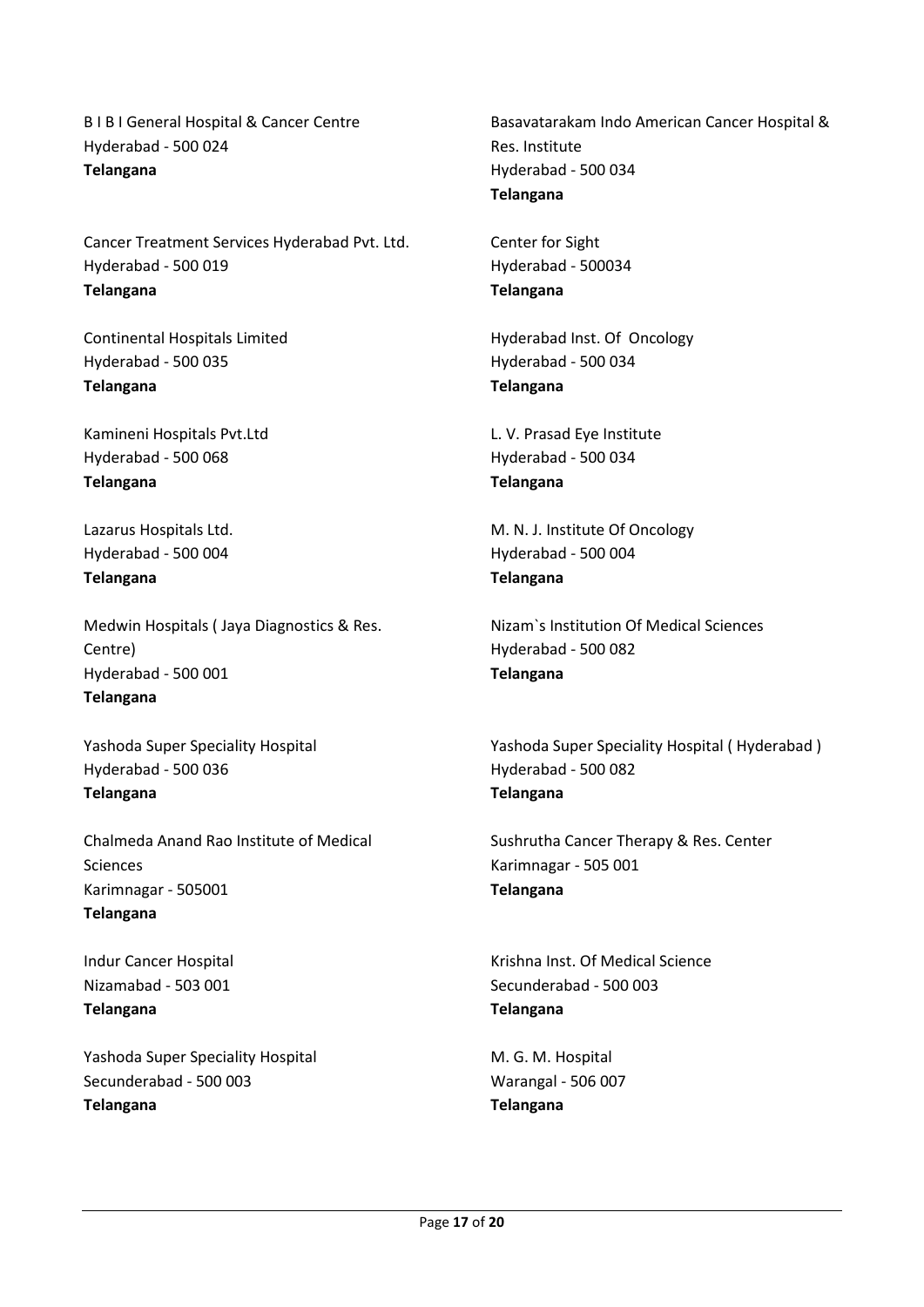B I B I General Hospital & Cancer Centre Hyderabad - 500 024 **Telangana**

Cancer Treatment Services Hyderabad Pvt. Ltd. Hyderabad - 500 019 **Telangana**

Continental Hospitals Limited Hyderabad - 500 035 **Telangana**

Kamineni Hospitals Pvt.Ltd Hyderabad - 500 068 **Telangana**

Lazarus Hospitals Ltd. Hyderabad - 500 004 **Telangana**

Medwin Hospitals ( Jaya Diagnostics & Res. Centre) Hyderabad - 500 001 **Telangana**

Yashoda Super Speciality Hospital Hyderabad - 500 036 **Telangana**

Chalmeda Anand Rao Institute of Medical Sciences Karimnagar - 505001 **Telangana**

Indur Cancer Hospital Nizamabad - 503 001 **Telangana**

Yashoda Super Speciality Hospital Secunderabad - 500 003 **Telangana**

Basavatarakam Indo American Cancer Hospital & Res. Institute Hyderabad - 500 034 **Telangana**

Center for Sight Hyderabad - 500034 **Telangana**

Hyderabad Inst. Of Oncology Hyderabad - 500 034 **Telangana**

L. V. Prasad Eye Institute Hyderabad - 500 034 **Telangana**

M. N. J. Institute Of Oncology Hyderabad - 500 004 **Telangana**

Nizam`s Institution Of Medical Sciences Hyderabad - 500 082 **Telangana**

Yashoda Super Speciality Hospital ( Hyderabad ) Hyderabad - 500 082 **Telangana**

Sushrutha Cancer Therapy & Res. Center Karimnagar - 505 001 **Telangana**

Krishna Inst. Of Medical Science Secunderabad - 500 003 **Telangana**

M. G. M. Hospital Warangal - 506 007 **Telangana**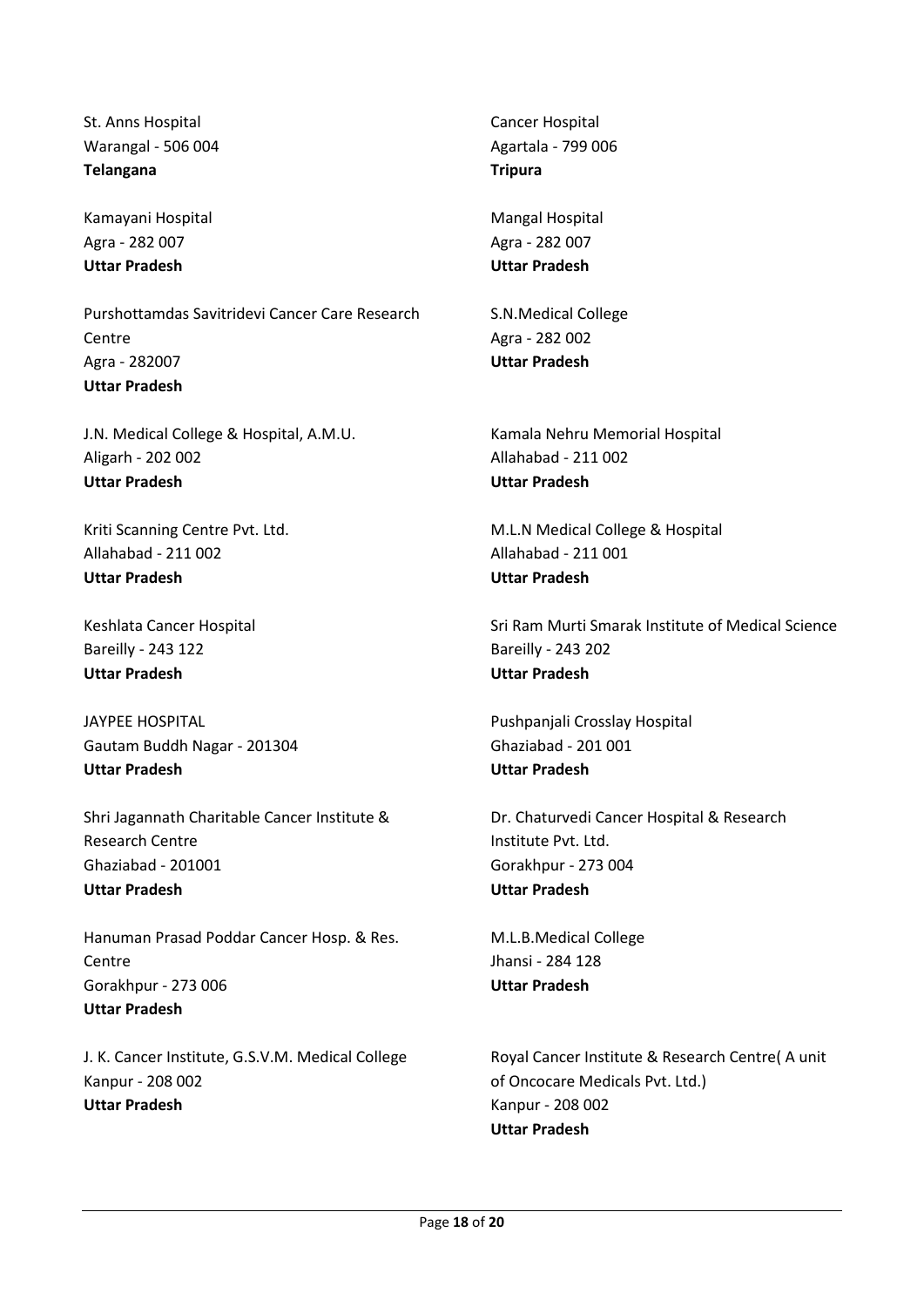St. Anns Hospital Warangal - 506 004 **Telangana**

Kamayani Hospital Agra - 282 007 **Uttar Pradesh**

Purshottamdas Savitridevi Cancer Care Research Centre Agra - 282007 **Uttar Pradesh**

J.N. Medical College & Hospital, A.M.U. Aligarh - 202 002 **Uttar Pradesh**

Kriti Scanning Centre Pvt. Ltd. Allahabad - 211 002 **Uttar Pradesh**

Keshlata Cancer Hospital Bareilly - 243 122 **Uttar Pradesh**

JAYPEE HOSPITAL Gautam Buddh Nagar - 201304 **Uttar Pradesh**

Shri Jagannath Charitable Cancer Institute & Research Centre Ghaziabad - 201001 **Uttar Pradesh**

Hanuman Prasad Poddar Cancer Hosp. & Res. **Centre** Gorakhpur - 273 006 **Uttar Pradesh**

J. K. Cancer Institute, G.S.V.M. Medical College Kanpur - 208 002 **Uttar Pradesh**

Cancer Hospital Agartala - 799 006 **Tripura**

Mangal Hospital Agra - 282 007 **Uttar Pradesh**

S.N.Medical College Agra - 282 002 **Uttar Pradesh**

Kamala Nehru Memorial Hospital Allahabad - 211 002 **Uttar Pradesh**

M.L.N Medical College & Hospital Allahabad - 211 001 **Uttar Pradesh**

Sri Ram Murti Smarak Institute of Medical Science Bareilly - 243 202 **Uttar Pradesh**

Pushpanjali Crosslay Hospital Ghaziabad - 201 001 **Uttar Pradesh**

Dr. Chaturvedi Cancer Hospital & Research Institute Pvt. Ltd. Gorakhpur - 273 004 **Uttar Pradesh**

M.L.B.Medical College Jhansi - 284 128 **Uttar Pradesh**

Royal Cancer Institute & Research Centre( A unit of Oncocare Medicals Pvt. Ltd.) Kanpur - 208 002 **Uttar Pradesh**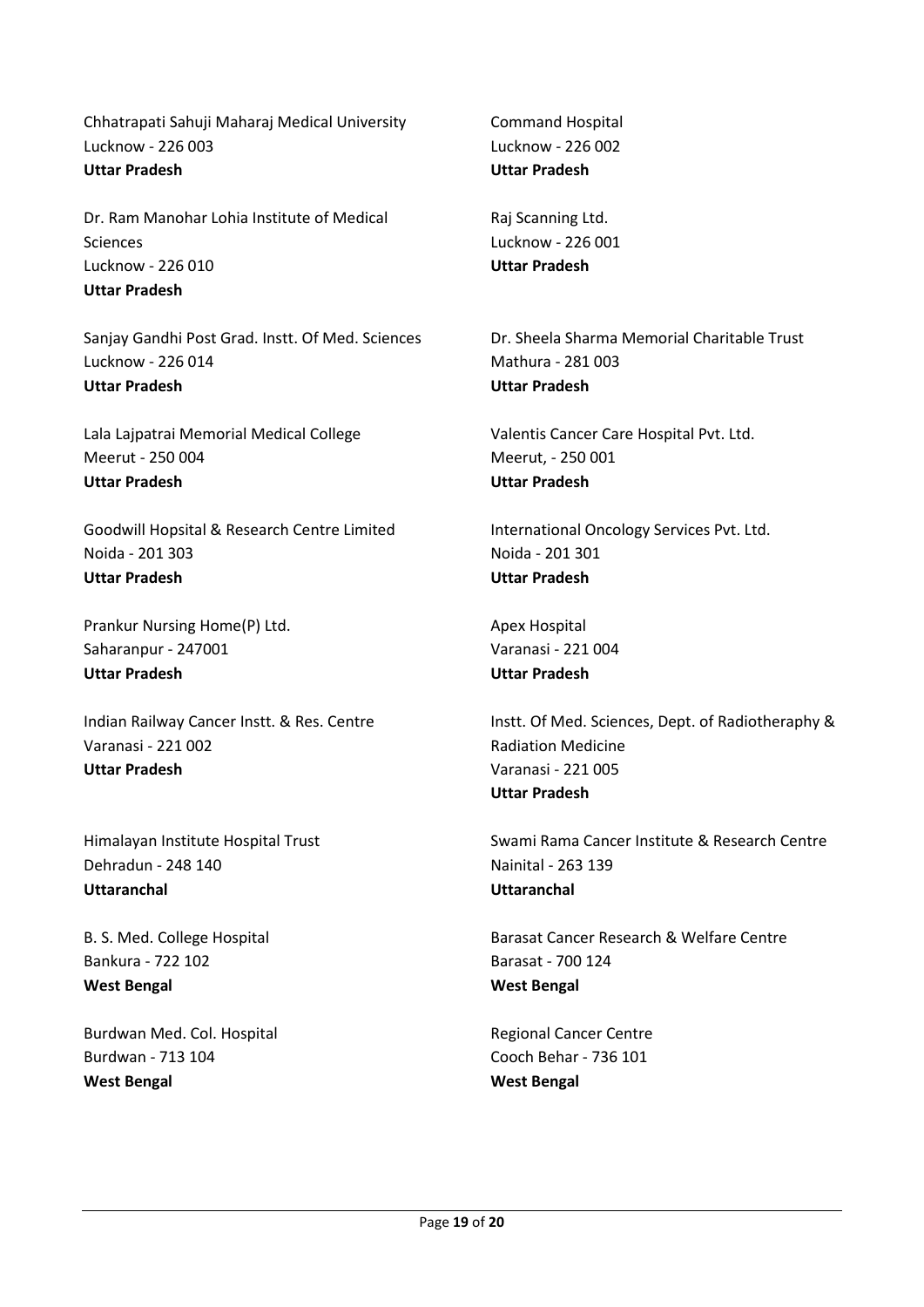Chhatrapati Sahuji Maharaj Medical University Lucknow - 226 003 **Uttar Pradesh**

Dr. Ram Manohar Lohia Institute of Medical Sciences Lucknow - 226 010 **Uttar Pradesh**

Sanjay Gandhi Post Grad. Instt. Of Med. Sciences Lucknow - 226 014 **Uttar Pradesh**

Lala Lajpatrai Memorial Medical College Meerut - 250 004 **Uttar Pradesh**

Goodwill Hopsital & Research Centre Limited Noida - 201 303 **Uttar Pradesh**

Prankur Nursing Home(P) Ltd. Saharanpur - 247001 **Uttar Pradesh**

Indian Railway Cancer Instt. & Res. Centre Varanasi - 221 002 **Uttar Pradesh**

Himalayan Institute Hospital Trust Dehradun - 248 140 **Uttaranchal**

B. S. Med. College Hospital Bankura - 722 102 **West Bengal**

Burdwan Med. Col. Hospital Burdwan - 713 104 **West Bengal**

Command Hospital Lucknow - 226 002 **Uttar Pradesh**

Raj Scanning Ltd. Lucknow - 226 001 **Uttar Pradesh**

Dr. Sheela Sharma Memorial Charitable Trust Mathura - 281 003 **Uttar Pradesh**

Valentis Cancer Care Hospital Pvt. Ltd. Meerut, - 250 001 **Uttar Pradesh**

International Oncology Services Pvt. Ltd. Noida - 201 301 **Uttar Pradesh**

Apex Hospital Varanasi - 221 004 **Uttar Pradesh**

Instt. Of Med. Sciences, Dept. of Radiotheraphy & Radiation Medicine Varanasi - 221 005 **Uttar Pradesh**

Swami Rama Cancer Institute & Research Centre Nainital - 263 139 **Uttaranchal**

Barasat Cancer Research & Welfare Centre Barasat - 700 124 **West Bengal**

Regional Cancer Centre Cooch Behar - 736 101 **West Bengal**